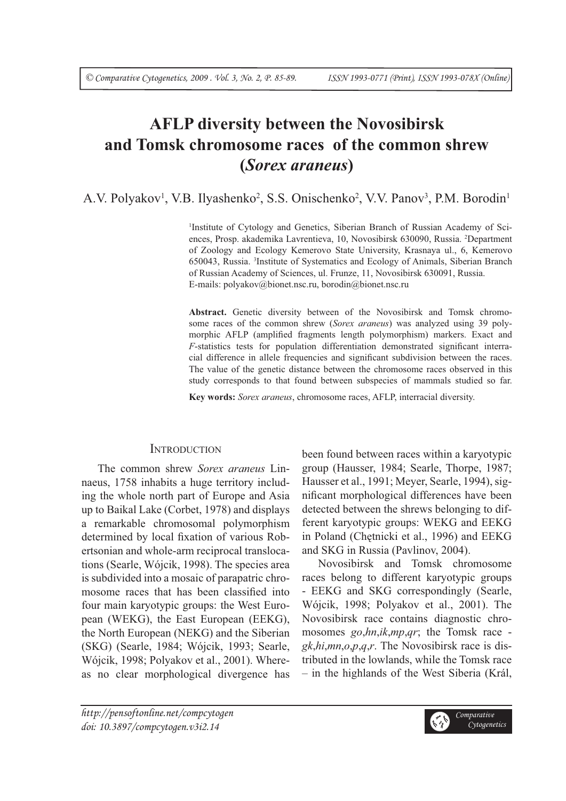# **AFLP diversity between the Novosibirsk and Tomsk chromosome races of the common shrew (***Sorex araneus***)**

A.V. Polyakov<sup>1</sup>, V.B. Ilyashenko<sup>2</sup>, S.S. Onischenko<sup>2</sup>, V.V. Panov<sup>3</sup>, P.M. Borodin<sup>1</sup>

<sup>1</sup>Institute of Cytology and Genetics, Siberian Branch of Russian Academy of Sciences, Prosp. akademika Lavrentieva, 10, Novosibirsk 630090, Russia. 2 Department of Zoology and Ecology Kemerovo State University, Krasnaya ul., 6, Kemerovo 650043, Russia. 3 Institute of Systematics and Ecology of Animals, Siberian Branch of Russian Academy of Sciences, ul. Frunze, 11, Novosibirsk 630091, Russia. E-mails: polyakov@bionet.nsc.ru, borodin@bionet.nsc.ru

**Abstract.** Genetic diversity between of the Novosibirsk and Tomsk chromosome races of the common shrew (*Sorex araneus*) was analyzed using 39 polymorphic AFLP (amplified fragments length polymorphism) markers. Exact and *F*-statistics tests for population differentiation demonstrated significant interracial difference in allele frequencies and significant subdivision between the races. The value of the genetic distance between the chromosome races observed in this study corresponds to that found between subspecies of mammals studied so far.

**Key words:** *Sorex araneus*, chromosome races, AFLP, interracial diversity.

## **INTRODUCTION**

The common shrew *Sorex araneus* Linnaeus, 1758 inhabits a huge territory including the whole north part of Europe and Asia up to Baikal Lake (Corbet, 1978) and displays a remarkable chromosomal polymorphism determined by local fixation of various Robertsonian and whole-arm reciprocal translocations (Searle, Wójcik, 1998). The species area is subdivided into a mosaic of parapatric chromosome races that has been classified into four main karyotypic groups: the West European (WEKG), the East European (EEKG), the North European (NEKG) and the Siberian (SKG) (Searle, 1984; Wójcik, 1993; Searle, Wójcik, 1998; Polyakov et al., 2001). Whereas no clear morphological divergence has been found between races within a karyotypic group (Hausser, 1984; Searle, Thorpe, 1987; Hausser et al., 1991; Meyer, Searle, 1994), significant morphological differences have been detected between the shrews belonging to different karyotypic groups: WEKG and EEKG in Poland (Chętnicki et al., 1996) and EEKG and SKG in Russia (Pavlinov, 2004).

Novosibirsk and Tomsk chromosome races belong to different karyotypic groups - EEKG and SKG correspondingly (Searle, Wójcik, 1998; Polyakov et al., 2001). The Novosibirsk race contains diagnostic chromosomes *go*,*hn*,*ik*,*mp*,*qr*; the Tomsk race *gk*,*hi*,*mn*,*o*,*p*,*q*,*r*. The Novosibirsk race is distributed in the lowlands, while the Tomsk race – in the highlands of the West Siberia (Král,

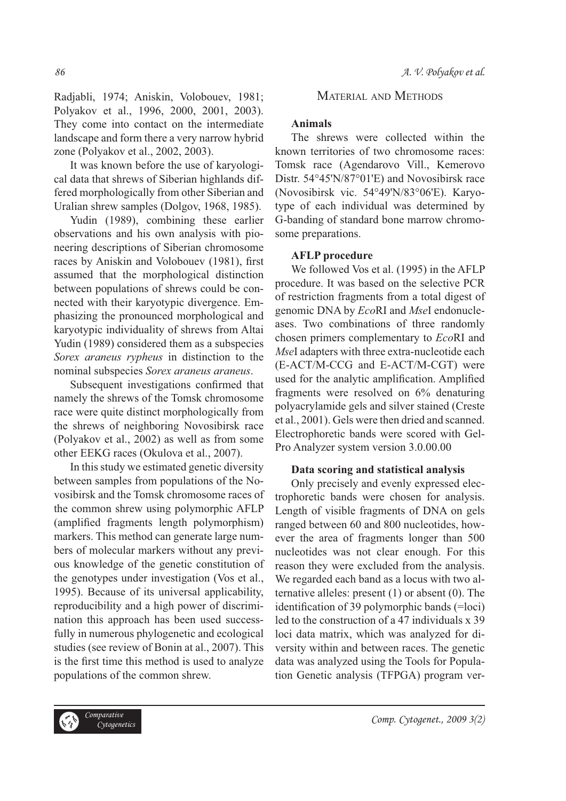Radjabli, 1974; Aniskin, Volobouev, 1981; Polyakov et al., 1996, 2000, 2001, 2003). They come into contact on the intermediate landscape and form there a very narrow hybrid zone (Polyakov et al., 2002, 2003).

It was known before the use of karyological data that shrews of Siberian highlands differed morphologically from other Siberian and Uralian shrew samples (Dolgov, 1968, 1985).

Yudin (1989), combining these earlier observations and his own analysis with pioneering descriptions of Siberian chromosome races by Aniskin and Volobouev (1981), first assumed that the morphological distinction between populations of shrews could be connected with their karyotypic divergence. Emphasizing the pronounced morphological and karyotypic individuality of shrews from Altai Yudin (1989) considered them as a subspecies *Sorex araneus rypheus* in distinction to the nominal subspecies *Sorex araneus araneus*.

Subsequent investigations confirmed that namely the shrews of the Tomsk chromosome race were quite distinct morphologically from the shrews of neighboring Novosibirsk race (Polyakov et al., 2002) as well as from some other EEKG races (Okulova et al., 2007).

In this study we estimated genetic diversity between samples from populations of the Novosibirsk and the Tomsk chromosome races of the common shrew using polymorphic AFLP (amplified fragments length polymorphism) markers. This method can generate large numbers of molecular markers without any previous knowledge of the genetic constitution of the genotypes under investigation (Vos et al., 1995). Because of its universal applicability, reproducibility and a high power of discrimination this approach has been used successfully in numerous phylogenetic and ecological studies (see review of Bonin at al., 2007). This is the first time this method is used to analyze populations of the common shrew.

## MATERIAL AND METHODS

### **Animals**

The shrews were collected within the known territories of two chromosome races: Tomsk race (Agendarovo Vill., Kemerovo Distr. 54°45'N/87°01'E) and Novosibirsk race (Novosibirsk vic. 54°49'N/83°06'E). Karyotype of each individual was determined by G-banding of standard bone marrow chromosome preparations.

#### **AFLP procedure**

We followed Vos et al. (1995) in the AFLP procedure. It was based on the selective PCR of restriction fragments from a total digest of genomic DNA by *Eco*RI and *Mse*I endonucleases. Two combinations of three randomly chosen primers complementary to *Eco*RI and *Mse*I adapters with three extra-nucleotide each (E-ACT/M-CCG and E-ACT/M-CGT) were used for the analytic amplification. Amplified fragments were resolved on 6% denaturing polyacrylamide gels and silver stained (Creste et al., 2001). Gels were then dried and scanned. Electrophoretic bands were scored with Gel-Pro Analyzer system version 3.0.00.00

#### **Data scoring and statistical analysis**

Only precisely and evenly expressed electrophoretic bands were chosen for analysis. Length of visible fragments of DNA on gels ranged between 60 and 800 nucleotides, however the area of fragments longer than 500 nucleotides was not clear enough. For this reason they were excluded from the analysis. We regarded each band as a locus with two alternative alleles: present (1) or absent (0). The identification of 39 polymorphic bands  $(=\overline{-\text{loci}})$ led to the construction of a 47 individuals x 39 loci data matrix, which was analyzed for diversity within and between races. The genetic data was analyzed using the Tools for Population Genetic analysis (TFPGA) program ver-

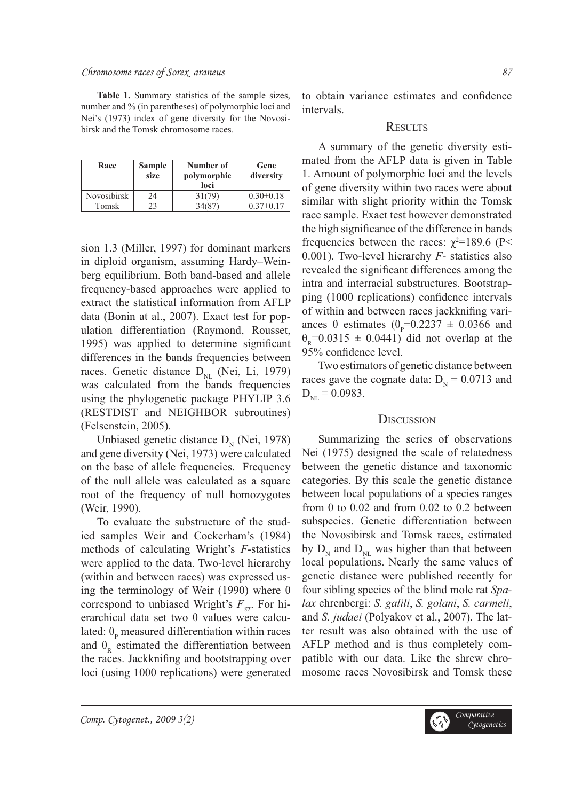#### Chromosome races of Sorex araneus 87

**Table 1.** Summary statistics of the sample sizes, number and % (in parentheses) of polymorphic loci and Nei's (1973) index of gene diversity for the Novosibirsk and the Tomsk chromosome races.

| Race               | Sample<br>size | Number of<br>polymorphic<br>loci | Gene<br>diversity |
|--------------------|----------------|----------------------------------|-------------------|
| <b>Novosibirsk</b> | 24             | 31(79)                           | $0.30 \pm 0.18$   |
| Tomsk              | 23             |                                  | $0.37 \pm 0.17$   |

sion 1.3 (Miller, 1997) for dominant markers in diploid organism, assuming Hardy–Weinberg equilibrium. Both band-based and allele frequency-based approaches were applied to extract the statistical information from AFLP data (Bonin at al., 2007). Exact test for population differentiation (Raymond, Rousset, 1995) was applied to determine significant differences in the bands frequencies between races. Genetic distance  $D_{NL}$  (Nei, Li, 1979) was calculated from the bands frequencies using the phylogenetic package PHYLIP 3.6 (RESTDIST and NEIGHBOR subroutines) (Felsenstein, 2005).

Unbiased genetic distance  $D_N$  (Nei, 1978) and gene diversity (Nei, 1973) were calculated on the base of allele frequencies. Frequency of the null allele was calculated as a square root of the frequency of null homozygotes (Weir, 1990).

To evaluate the substructure of the studied samples Weir and Cockerham's (1984) methods of calculating Wright's *F*-statistics were applied to the data. Two-level hierarchy (within and between races) was expressed using the terminology of Weir (1990) where θ correspond to unbiased Wright's  $F_{ST}$ . For hierarchical data set two θ values were calculated:  $\theta_{\rm p}$  measured differentiation within races and  $\theta_{R}$  estimated the differentiation between the races. Jackknifing and bootstrapping over loci (using 1000 replications) were generated

to obtain variance estimates and confidence intervals.

#### **RESULTS**

A summary of the genetic diversity estimated from the AFLP data is given in Table 1. Amount of polymorphic loci and the levels of gene diversity within two races were about similar with slight priority within the Tomsk race sample. Exact test however demonstrated the high significance of the difference in bands frequencies between the races:  $\chi^2$ =189.6 (P< 0.001). Two-level hierarchy *F*- statistics also revealed the significant differences among the intra and interracial substructures. Bootstrapping (1000 replications) confidence intervals of within and between races jackknifing variances  $\theta$  estimates  $(\theta_P = 0.2237 \pm 0.0366$  and  $\theta_{\text{p}}$ =0.0315  $\pm$  0.0441) did not overlap at the 95% confidence level.

Two estimators of genetic distance between races gave the cognate data:  $D_{N} = 0.0713$  and  $D_{NL} = 0.0983$ .

#### **DISCUSSION**

Summarizing the series of observations Nei (1975) designed the scale of relatedness between the genetic distance and taxonomic categories. By this scale the genetic distance between local populations of a species ranges from 0 to 0.02 and from 0.02 to 0.2 between subspecies. Genetic differentiation between the Novosibirsk and Tomsk races, estimated by  $D_N$  and  $D_{NL}$  was higher than that between local populations. Nearly the same values of genetic distance were published recently for four sibling species of the blind mole rat *Spalax* ehrenbergi: *S. galili*, *S. golani*, *S. carmeli*, and *S. judaei* (Polyakov et al., 2007). The latter result was also obtained with the use of AFLP method and is thus completely compatible with our data. Like the shrew chromosome races Novosibirsk and Tomsk these

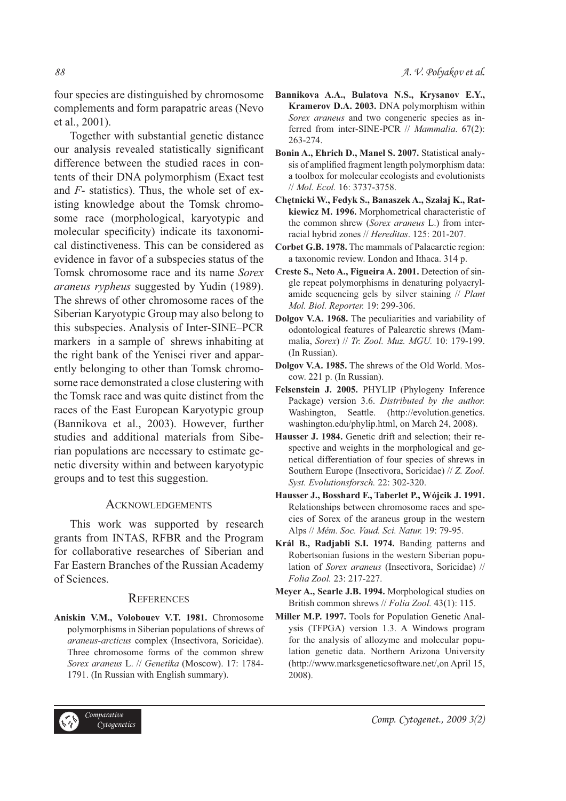four species are distinguished by chromosome complements and form parapatric areas (Nevo et al., 2001).

Together with substantial genetic distance our analysis revealed statistically significant difference between the studied races in contents of their DNA polymorphism (Exact test and *F*- statistics). Thus, the whole set of existing knowledge about the Tomsk chromosome race (morphological, karyotypic and molecular specificity) indicate its taxonomical distinctiveness. This can be considered as evidence in favor of a subspecies status of the Tomsk chromosome race and its name *Sorex araneus rypheus* suggested by Yudin (1989). The shrews of other chromosome races of the Siberian Karyotypic Group may also belong to this subspecies. Analysis of Inter-SINE–PCR markers in a sample of shrews inhabiting at the right bank of the Yenisei river and apparently belonging to other than Tomsk chromosome race demonstrated a close clustering with the Tomsk race and was quite distinct from the races of the East European Karyotypic group (Bannikova et al., 2003). However, further studies and additional materials from Siberian populations are necessary to estimate genetic diversity within and between karyotypic groups and to test this suggestion.

#### **ACKNOWLEDGEMENTS**

This work was supported by research grants from INTAS, RFBR and the Program for collaborative researches of Siberian and Far Eastern Branches of the Russian Academy of Sciences.

#### **REFERENCES**

**Aniskin V.M., Volobouev V.T. 1981.** Chromosome polymorphisms in Siberian populations of shrews of *araneus-arcticus* complex (Insectivora, Soricidae). Three chromosome forms of the common shrew *Sorex araneus* L. // *Genetika* (Moscow). 17: 1784- 1791. (In Russian with English summary).

- **Bannikova A.A., Bulatova N.S., Krysanov E.Y., Kramerov D.A. 2003.** DNA polymorphism within *Sorex araneus* and two congeneric species as inferred from inter-SINE-PCR // *Mammalia*. 67(2): 263-274.
- **Bonin A., Ehrich D., Manel S. 2007.** Statistical analysis of amplified fragment length polymorphism data: a toolbox for molecular ecologists and evolutionists // *Mol. Ecol.* 16: 3737-3758.
- **Chętnicki W., Fedyk S., Banaszek A., Szałaj K., Ratkiewicz M. 1996.** Morphometrical characteristic of the common shrew (*Sorex araneus* L.) from interracial hybrid zones // *Hereditas*. 125: 201-207.
- **Corbet G.B. 1978.** The mammals of Palaearctic region: a taxonomic review. London and Ithaca. 314 p.
- **Creste S., Neto A., Figueira A. 2001.** Detection of single repeat polymorphisms in denaturing polyacrylamide sequencing gels by silver staining // *Plant Mol. Biol. Reporter.* 19: 299-306.
- **Dolgov V.A. 1968.** The peculiarities and variability of odontological features of Palearctic shrews (Mammalia, *Sorex*) // *Tr. Zool. Muz. MGU.* 10: 179-199. (In Russian).
- **Dolgov V.A. 1985.** The shrews of the Old World. Moscow. 221 p. (In Russian).
- **Felsenstein J. 2005.** PHYLIP (Phylogeny Inference Package) version 3.6. *Distributed by the author.* Washington, Seattle. (http://evolution.genetics. washington.edu/phylip.html, on March 24, 2008).
- **Hausser J. 1984.** Genetic drift and selection; their respective and weights in the morphological and genetical differentiation of four species of shrews in Southern Europe (Insectivora, Soricidae) // *Z. Zool. Syst. Evolutionsforsch.* 22: 302-320.
- **Hausser J., Bosshard F., Taberlet P., Wójcik J. 1991.** Relationships between chromosome races and species of Sorex of the araneus group in the western Alps // *Mém. Soc. Vaud. Sci. Natur.* 19: 79-95.
- **Král B., Radjabli S.I. 1974.** Banding patterns and Robertsonian fusions in the western Siberian population of *Sorex araneus* (Insectivora, Soricidae) // *Folia Zool.* 23: 217-227.
- **Meyer A., Searle J.B. 1994.** Morphological studies on British common shrews // *Folia Zool.* 43(1): 115.
- **Miller M.P. 1997.** Tools for Population Genetic Analysis (TFPGA) version 1.3. A Windows program for the analysis of allozyme and molecular population genetic data. Northern Arizona University (http://www.marksgeneticsoftware.net/,on April 15, 2008).